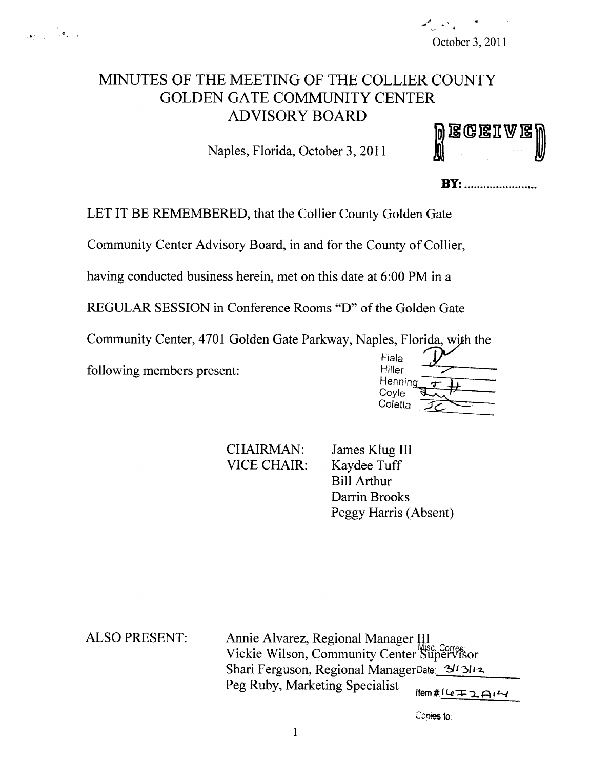# MINUTES OF THE MEETING OF THE COLLIER COUNTY GOLDEN GATE COMMUNITY CENTER ADVISORY BOARD

Naples, Florida, October 3, 2011

|  | <b>Wegeiae</b><br>U |  |  |
|--|---------------------|--|--|
|  |                     |  |  |

**BY:** .........................

LET IT BE REMEMBERED, that the Collier County Golden Gate

Community Center Advisory Board, in and for the County of Collier,

having conducted business herein, met on this date at 6:00 PM in a

REGULAR SESSION in Conference Rooms "D" of the Golden Gate

Community Center, 4701 Golden Gate Parkway, Naples, Florida, with the

following members present:

| Fiala<br>Hiller |  |
|-----------------|--|
| Henning         |  |
| Coyle           |  |
| Coletta         |  |

CHAIRMAN: James Klug III<br>VICE CHAIR: Kavdee Tuff

Kaydee Tuff Bill Arthur Darrin Brooks Peggy Harris (Absent)

ALSO PRESENT: Annie Alvarez, Regional Manager III Vickie Wilson, Community Center Supervisor Shari Ferguson, Regional ManagerDate: 3/13/12. Peg Ruby, Marketing Specialist

 $Item$  # $(672)$ 

Copies to: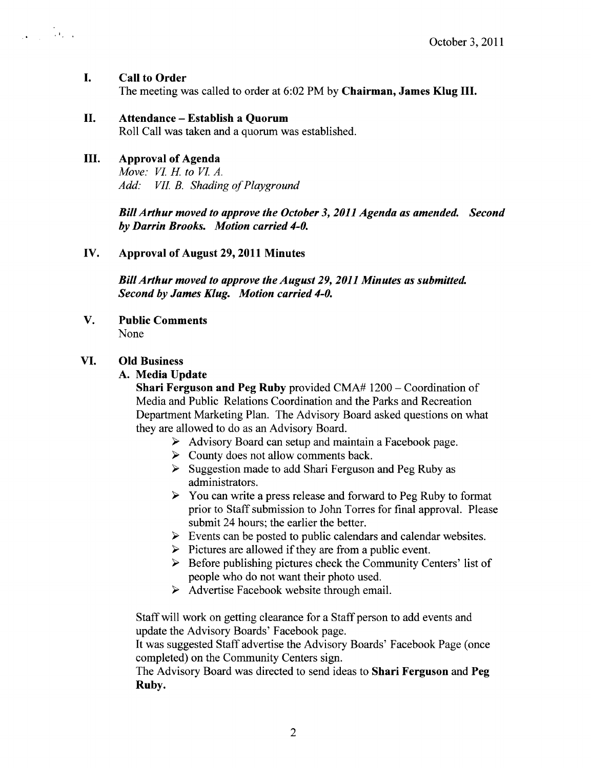#### I. Call to Order

 $\frac{1}{\sqrt{2}}\sum_{i=1}^n\frac{1}{\sqrt{2}}\sum_{i=1}^n\frac{1}{\sqrt{2}}\sum_{i=1}^n\frac{1}{\sqrt{2}}\sum_{i=1}^n\frac{1}{\sqrt{2}}\sum_{i=1}^n\frac{1}{\sqrt{2}}\sum_{i=1}^n\frac{1}{\sqrt{2}}\sum_{i=1}^n\frac{1}{\sqrt{2}}\sum_{i=1}^n\frac{1}{\sqrt{2}}\sum_{i=1}^n\frac{1}{\sqrt{2}}\sum_{i=1}^n\frac{1}{\sqrt{2}}\sum_{i=1}^n\frac{1}{\sqrt{2}}\$ 

The meeting was called to order at 6:02 PM by Chairman, James Klug III.

# II. Attendance—Establish <sup>a</sup> Quorum

Roll Call was taken and a quorum was established.

# III. Approval of Agenda

Move: VI. H. to VI. A. Add: VII. B. Shading of Playground

BillArthur moved to approve the October 3, 2011 Agenda as amended. Second by Darrin Brooks. Motion carried 4-0.

# IV. Approval of August 29, 2011 Minutes

Bill Arthur moved to approve the August 29, 2011 Minutes as submitted. Second by James Klug. Motion carried 4-0.

V. Public Comments None

# VI. Old Business

### A. Media Update

Shari Ferguson and Peg Ruby provided CMA# 1200— Coordination of Media and Public Relations Coordination and the Parks and Recreation Department Marketing Plan. The Advisory Board asked questions on what they are allowed to do as an Advisory Board.

- $\triangleright$  Advisory Board can setup and maintain a Facebook page.
- $\triangleright$  County does not allow comments back.
- $\triangleright$  Suggestion made to add Shari Ferguson and Peg Ruby as administrators.
- $\triangleright$  You can write a press release and forward to Peg Ruby to format prior to Staff submission to John Torres for final approval. Please submit 24 hours; the earlier the better.
- $\triangleright$  Events can be posted to public calendars and calendar websites.
- $\triangleright$  Pictures are allowed if they are from a public event.
- $\triangleright$  Before publishing pictures check the Community Centers' list of people who do not want their photo used.
- $\triangleright$  Advertise Facebook website through email.

Staff will work on getting clearance for a Staff person to add events and update the Advisory Boards' Facebook page.

It was suggested Staff advertise the Advisory Boards' Facebook Page ( once completed) on the Community Centers sign.

The Advisory Board was directed to send ideas to Shari Ferguson and Peg Ruby.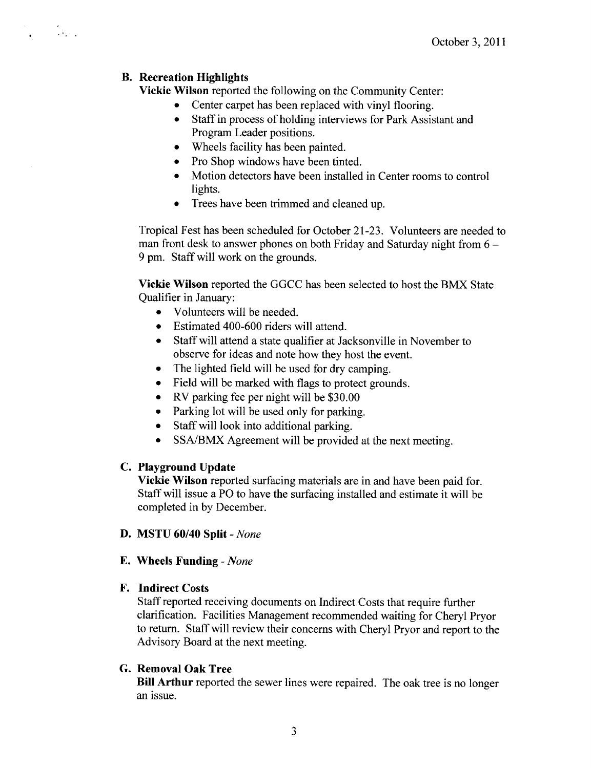#### B. Recreation Highlights

 $\mathcal{L} = \frac{1}{2} \sum_{i=1}^{2} \mathcal{L}_i$ 

Vickie Wilson reported the following on the Community Center:

- Center carpet has been replaced with vinyl flooring.
- Staff in process of holding interviews for Park Assistant and Program Leader positions.
- Wheels facility has been painted.
- Pro Shop windows have been tinted.
- Motion detectors have been installed in Center rooms to control lights.
- Trees have been trimmed and cleaned up.

Tropical Fest has been scheduled for October 21-23. Volunteers are needed to man front desk to answer phones on both Friday and Saturday night from 6— 9 pm. Staff will work on the grounds.

Vickie Wilson reported the GGCC has been selected to host the BMX State Qualifier in January:

- Volunteers will be needed.
- Estimated 400-600 riders will attend.  $\bullet$
- Staff will attend a state qualifier at Jacksonville in November to observe for ideas and note how they host the event.
- The lighted field will be used for dry camping.  $\bullet$
- Field will be marked with flags to protect grounds.  $\bullet$
- RV parking fee per night will be  $$30.00$
- Parking lot will be used only for parking.
- Staff will look into additional parking.
- SSA/BMX Agreement will be provided at the next meeting.  $\bullet$

#### C. Playground Update

Vickie Wilson reported surfacing materials are in and have been paid for. Staff will issue <sup>a</sup> PO to have the surfacing installed and estimate it will be completed in by December.

- D. MSTU 60/40 Split- None
- E. Wheels Funding- None

#### F. Indirect Costs

Staff reported receiving documents on Indirect Costs that require further clarification. Facilities Management recommended waiting for Cheryl Pryor to return. Staff will review their concerns with Cheryl Pryor and report to the Advisory Board at the next meeting.

#### G. Removal Oak Tree

Bill Arthur reported the sewer lines were repaired. The oak tree is no longer an issue.